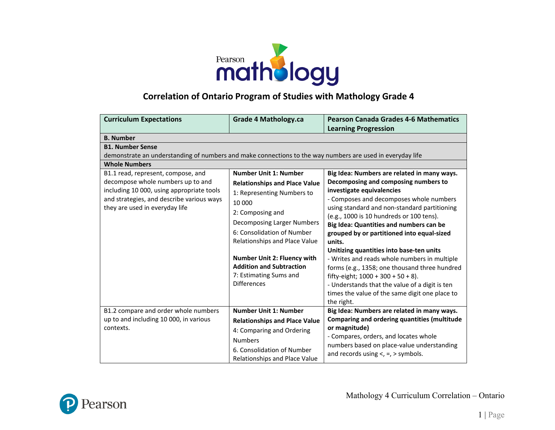

## **Correlation of Ontario Program of Studies with Mathology Grade 4**

| <b>Curriculum Expectations</b>                                                                                                                                | <b>Grade 4 Mathology.ca</b>                                                                                                                                                                   | <b>Pearson Canada Grades 4-6 Mathematics</b>                                                                                                                                                                                                                                                                                                            |
|---------------------------------------------------------------------------------------------------------------------------------------------------------------|-----------------------------------------------------------------------------------------------------------------------------------------------------------------------------------------------|---------------------------------------------------------------------------------------------------------------------------------------------------------------------------------------------------------------------------------------------------------------------------------------------------------------------------------------------------------|
|                                                                                                                                                               |                                                                                                                                                                                               | <b>Learning Progression</b>                                                                                                                                                                                                                                                                                                                             |
| <b>B.</b> Number                                                                                                                                              |                                                                                                                                                                                               |                                                                                                                                                                                                                                                                                                                                                         |
| <b>B1. Number Sense</b>                                                                                                                                       |                                                                                                                                                                                               |                                                                                                                                                                                                                                                                                                                                                         |
| demonstrate an understanding of numbers and make connections to the way numbers are used in everyday life                                                     |                                                                                                                                                                                               |                                                                                                                                                                                                                                                                                                                                                         |
| <b>Whole Numbers</b>                                                                                                                                          |                                                                                                                                                                                               |                                                                                                                                                                                                                                                                                                                                                         |
| B1.1 read, represent, compose, and                                                                                                                            | <b>Number Unit 1: Number</b>                                                                                                                                                                  | Big Idea: Numbers are related in many ways.                                                                                                                                                                                                                                                                                                             |
| decompose whole numbers up to and<br>including 10 000, using appropriate tools<br>and strategies, and describe various ways<br>they are used in everyday life | <b>Relationships and Place Value</b><br>1: Representing Numbers to<br>10 000<br>2: Composing and<br>Decomposing Larger Numbers<br>6: Consolidation of Number<br>Relationships and Place Value | Decomposing and composing numbers to<br>investigate equivalencies<br>- Composes and decomposes whole numbers<br>using standard and non-standard partitioning<br>(e.g., 1000 is 10 hundreds or 100 tens).<br>Big Idea: Quantities and numbers can be<br>grouped by or partitioned into equal-sized<br>units.<br>Unitizing quantities into base-ten units |
|                                                                                                                                                               | <b>Number Unit 2: Fluency with</b><br><b>Addition and Subtraction</b><br>7: Estimating Sums and<br><b>Differences</b>                                                                         | - Writes and reads whole numbers in multiple<br>forms (e.g., 1358; one thousand three hundred<br>fifty-eight; $1000 + 300 + 50 + 8$ ).<br>- Understands that the value of a digit is ten<br>times the value of the same digit one place to<br>the right.                                                                                                |
| B1.2 compare and order whole numbers                                                                                                                          | <b>Number Unit 1: Number</b>                                                                                                                                                                  | Big Idea: Numbers are related in many ways.                                                                                                                                                                                                                                                                                                             |
| up to and including 10 000, in various                                                                                                                        | <b>Relationships and Place Value</b>                                                                                                                                                          | Comparing and ordering quantities (multitude                                                                                                                                                                                                                                                                                                            |
| contexts.                                                                                                                                                     | 4: Comparing and Ordering<br><b>Numbers</b><br>6. Consolidation of Number<br>Relationships and Place Value                                                                                    | or magnitude)<br>- Compares, orders, and locates whole<br>numbers based on place-value understanding<br>and records using $\lt$ , $=$ , $>$ symbols.                                                                                                                                                                                                    |

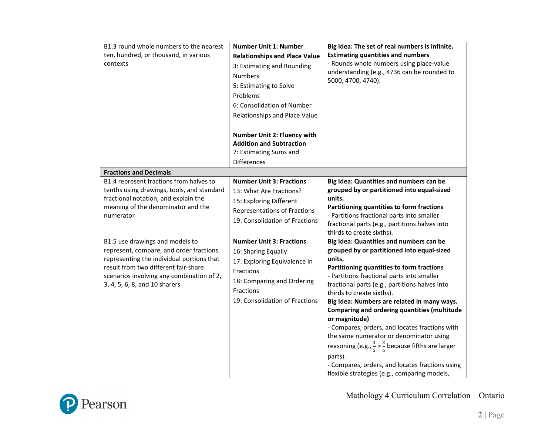| B1.3 round whole numbers to the nearest<br>ten, hundred, or thousand, in various<br>contexts                                                                                                                                                  | <b>Number Unit 1: Number</b><br><b>Relationships and Place Value</b><br>3: Estimating and Rounding<br><b>Numbers</b><br>5: Estimating to Solve<br>Problems<br>6: Consolidation of Number<br>Relationships and Place Value | Big Idea: The set of real numbers is infinite.<br><b>Estimating quantities and numbers</b><br>- Rounds whole numbers using place-value<br>understanding (e.g., 4736 can be rounded to<br>5000, 4700, 4740).                                                                                                                                                                                                                                                                                                                                                                                                                                                                             |
|-----------------------------------------------------------------------------------------------------------------------------------------------------------------------------------------------------------------------------------------------|---------------------------------------------------------------------------------------------------------------------------------------------------------------------------------------------------------------------------|-----------------------------------------------------------------------------------------------------------------------------------------------------------------------------------------------------------------------------------------------------------------------------------------------------------------------------------------------------------------------------------------------------------------------------------------------------------------------------------------------------------------------------------------------------------------------------------------------------------------------------------------------------------------------------------------|
|                                                                                                                                                                                                                                               | <b>Number Unit 2: Fluency with</b><br><b>Addition and Subtraction</b><br>7: Estimating Sums and<br><b>Differences</b>                                                                                                     |                                                                                                                                                                                                                                                                                                                                                                                                                                                                                                                                                                                                                                                                                         |
| <b>Fractions and Decimals</b>                                                                                                                                                                                                                 |                                                                                                                                                                                                                           |                                                                                                                                                                                                                                                                                                                                                                                                                                                                                                                                                                                                                                                                                         |
| B1.4 represent fractions from halves to<br>tenths using drawings, tools, and standard<br>fractional notation, and explain the<br>meaning of the denominator and the<br>numerator                                                              | <b>Number Unit 3: Fractions</b><br>13: What Are Fractions?<br>15: Exploring Different<br><b>Representations of Fractions</b><br>19: Consolidation of Fractions                                                            | Big Idea: Quantities and numbers can be<br>grouped by or partitioned into equal-sized<br>units.<br>Partitioning quantities to form fractions<br>- Partitions fractional parts into smaller<br>fractional parts (e.g., partitions halves into<br>thirds to create sixths).                                                                                                                                                                                                                                                                                                                                                                                                               |
| B1.5 use drawings and models to<br>represent, compare, and order fractions<br>representing the individual portions that<br>result from two different fair-share<br>scenarios involving any combination of 2,<br>3, 4, 5, 6, 8, and 10 sharers | <b>Number Unit 3: Fractions</b><br>16: Sharing Equally<br>17: Exploring Equivalence in<br>Fractions<br>18: Comparing and Ordering<br>Fractions<br>19: Consolidation of Fractions                                          | Big Idea: Quantities and numbers can be<br>grouped by or partitioned into equal-sized<br>units.<br>Partitioning quantities to form fractions<br>- Partitions fractional parts into smaller<br>fractional parts (e.g., partitions halves into<br>thirds to create sixths).<br>Big Idea: Numbers are related in many ways.<br><b>Comparing and ordering quantities (multitude</b><br>or magnitude)<br>- Compares, orders, and locates fractions with<br>the same numerator or denominator using<br>reasoning (e.g., $\frac{3}{5}$ > $\frac{3}{6}$ because fifths are larger<br>parts).<br>- Compares, orders, and locates fractions using<br>flexible strategies (e.g., comparing models, |

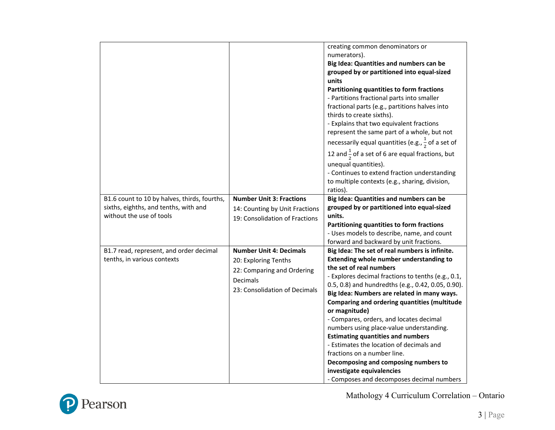|                                              |                                 | creating common denominators or                               |
|----------------------------------------------|---------------------------------|---------------------------------------------------------------|
|                                              |                                 | numerators).                                                  |
|                                              |                                 | Big Idea: Quantities and numbers can be                       |
|                                              |                                 | grouped by or partitioned into equal-sized                    |
|                                              |                                 | units                                                         |
|                                              |                                 | Partitioning quantities to form fractions                     |
|                                              |                                 | - Partitions fractional parts into smaller                    |
|                                              |                                 | fractional parts (e.g., partitions halves into                |
|                                              |                                 | thirds to create sixths).                                     |
|                                              |                                 | - Explains that two equivalent fractions                      |
|                                              |                                 | represent the same part of a whole, but not                   |
|                                              |                                 | necessarily equal quantities (e.g., $\frac{1}{2}$ of a set of |
|                                              |                                 | 12 and $\frac{1}{2}$ of a set of 6 are equal fractions, but   |
|                                              |                                 | unequal quantities).                                          |
|                                              |                                 | - Continues to extend fraction understanding                  |
|                                              |                                 | to multiple contexts (e.g., sharing, division,                |
|                                              |                                 | ratios).                                                      |
| B1.6 count to 10 by halves, thirds, fourths, | <b>Number Unit 3: Fractions</b> | Big Idea: Quantities and numbers can be                       |
| sixths, eighths, and tenths, with and        | 14: Counting by Unit Fractions  | grouped by or partitioned into equal-sized                    |
| without the use of tools                     | 19: Consolidation of Fractions  | units.                                                        |
|                                              |                                 | Partitioning quantities to form fractions                     |
|                                              |                                 | - Uses models to describe, name, and count                    |
|                                              |                                 | forward and backward by unit fractions.                       |
| B1.7 read, represent, and order decimal      | <b>Number Unit 4: Decimals</b>  | Big Idea: The set of real numbers is infinite.                |
| tenths, in various contexts                  | 20: Exploring Tenths            | Extending whole number understanding to                       |
|                                              | 22: Comparing and Ordering      | the set of real numbers                                       |
|                                              | Decimals                        | - Explores decimal fractions to tenths (e.g., 0.1,            |
|                                              | 23: Consolidation of Decimals   | 0.5, 0.8) and hundredths (e.g., 0.42, 0.05, 0.90).            |
|                                              |                                 | Big Idea: Numbers are related in many ways.                   |
|                                              |                                 | <b>Comparing and ordering quantities (multitude</b>           |
|                                              |                                 | or magnitude)                                                 |
|                                              |                                 | - Compares, orders, and locates decimal                       |
|                                              |                                 | numbers using place-value understanding.                      |
|                                              |                                 | <b>Estimating quantities and numbers</b>                      |
|                                              |                                 | - Estimates the location of decimals and                      |
|                                              |                                 | fractions on a number line.                                   |
|                                              |                                 | Decomposing and composing numbers to                          |
|                                              |                                 | investigate equivalencies                                     |
|                                              |                                 | - Composes and decomposes decimal numbers                     |

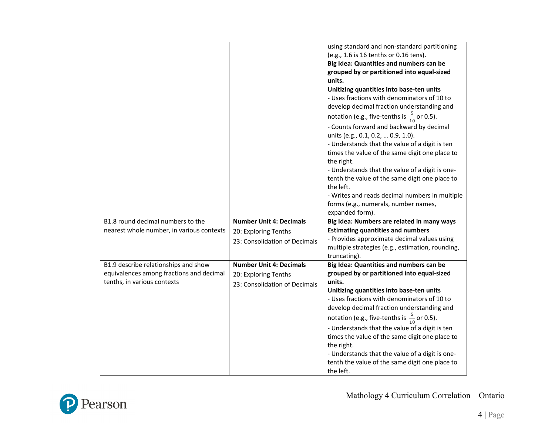|                                           |                                | using standard and non-standard partitioning<br>(e.g., 1.6 is 16 tenths or 0.16 tens).<br>Big Idea: Quantities and numbers can be<br>grouped by or partitioned into equal-sized<br>units.<br>Unitizing quantities into base-ten units<br>- Uses fractions with denominators of 10 to<br>develop decimal fraction understanding and<br>notation (e.g., five-tenths is $\frac{5}{10}$ or 0.5).<br>- Counts forward and backward by decimal<br>units (e.g., 0.1, 0.2,  0.9, 1.0).<br>- Understands that the value of a digit is ten<br>times the value of the same digit one place to<br>the right.<br>- Understands that the value of a digit is one-<br>tenth the value of the same digit one place to<br>the left.<br>- Writes and reads decimal numbers in multiple<br>forms (e.g., numerals, number names,<br>expanded form). |
|-------------------------------------------|--------------------------------|---------------------------------------------------------------------------------------------------------------------------------------------------------------------------------------------------------------------------------------------------------------------------------------------------------------------------------------------------------------------------------------------------------------------------------------------------------------------------------------------------------------------------------------------------------------------------------------------------------------------------------------------------------------------------------------------------------------------------------------------------------------------------------------------------------------------------------|
| B1.8 round decimal numbers to the         | <b>Number Unit 4: Decimals</b> | Big Idea: Numbers are related in many ways                                                                                                                                                                                                                                                                                                                                                                                                                                                                                                                                                                                                                                                                                                                                                                                      |
| nearest whole number, in various contexts | 20: Exploring Tenths           | <b>Estimating quantities and numbers</b>                                                                                                                                                                                                                                                                                                                                                                                                                                                                                                                                                                                                                                                                                                                                                                                        |
|                                           | 23: Consolidation of Decimals  | - Provides approximate decimal values using                                                                                                                                                                                                                                                                                                                                                                                                                                                                                                                                                                                                                                                                                                                                                                                     |
|                                           |                                | multiple strategies (e.g., estimation, rounding,<br>truncating).                                                                                                                                                                                                                                                                                                                                                                                                                                                                                                                                                                                                                                                                                                                                                                |
| B1.9 describe relationships and show      | <b>Number Unit 4: Decimals</b> | Big Idea: Quantities and numbers can be                                                                                                                                                                                                                                                                                                                                                                                                                                                                                                                                                                                                                                                                                                                                                                                         |
| equivalences among fractions and decimal  | 20: Exploring Tenths           | grouped by or partitioned into equal-sized                                                                                                                                                                                                                                                                                                                                                                                                                                                                                                                                                                                                                                                                                                                                                                                      |
| tenths, in various contexts               | 23: Consolidation of Decimals  | units.                                                                                                                                                                                                                                                                                                                                                                                                                                                                                                                                                                                                                                                                                                                                                                                                                          |
|                                           |                                | Unitizing quantities into base-ten units<br>- Uses fractions with denominators of 10 to                                                                                                                                                                                                                                                                                                                                                                                                                                                                                                                                                                                                                                                                                                                                         |
|                                           |                                | develop decimal fraction understanding and                                                                                                                                                                                                                                                                                                                                                                                                                                                                                                                                                                                                                                                                                                                                                                                      |
|                                           |                                | notation (e.g., five-tenths is $\frac{5}{10}$ or 0.5).                                                                                                                                                                                                                                                                                                                                                                                                                                                                                                                                                                                                                                                                                                                                                                          |
|                                           |                                | - Understands that the value of a digit is ten                                                                                                                                                                                                                                                                                                                                                                                                                                                                                                                                                                                                                                                                                                                                                                                  |
|                                           |                                | times the value of the same digit one place to<br>the right.                                                                                                                                                                                                                                                                                                                                                                                                                                                                                                                                                                                                                                                                                                                                                                    |
|                                           |                                | - Understands that the value of a digit is one-                                                                                                                                                                                                                                                                                                                                                                                                                                                                                                                                                                                                                                                                                                                                                                                 |
|                                           |                                | tenth the value of the same digit one place to<br>the left.                                                                                                                                                                                                                                                                                                                                                                                                                                                                                                                                                                                                                                                                                                                                                                     |

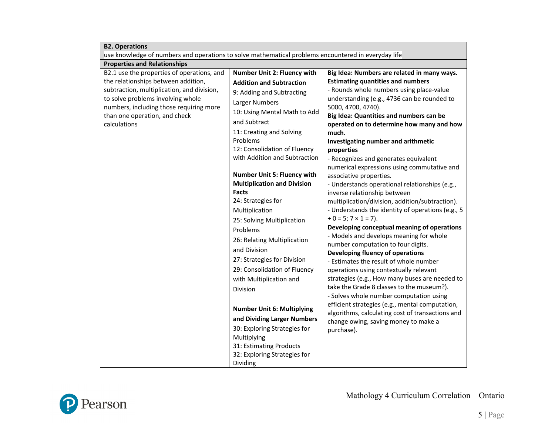| <b>B2. Operations</b>                                                                               |                                    |                                                                                          |  |
|-----------------------------------------------------------------------------------------------------|------------------------------------|------------------------------------------------------------------------------------------|--|
| use knowledge of numbers and operations to solve mathematical problems encountered in everyday life |                                    |                                                                                          |  |
| <b>Properties and Relationships</b>                                                                 |                                    |                                                                                          |  |
| B2.1 use the properties of operations, and                                                          | Number Unit 2: Fluency with        | Big Idea: Numbers are related in many ways.                                              |  |
| the relationships between addition,                                                                 | <b>Addition and Subtraction</b>    | <b>Estimating quantities and numbers</b>                                                 |  |
| subtraction, multiplication, and division,                                                          | 9: Adding and Subtracting          | - Rounds whole numbers using place-value                                                 |  |
| to solve problems involving whole                                                                   | Larger Numbers                     | understanding (e.g., 4736 can be rounded to                                              |  |
| numbers, including those requiring more                                                             | 10: Using Mental Math to Add       | 5000, 4700, 4740).                                                                       |  |
| than one operation, and check                                                                       | and Subtract                       | Big Idea: Quantities and numbers can be                                                  |  |
| calculations                                                                                        | 11: Creating and Solving           | operated on to determine how many and how<br>much.                                       |  |
|                                                                                                     | Problems                           | Investigating number and arithmetic                                                      |  |
|                                                                                                     | 12: Consolidation of Fluency       | properties                                                                               |  |
|                                                                                                     | with Addition and Subtraction      | - Recognizes and generates equivalent                                                    |  |
|                                                                                                     |                                    | numerical expressions using commutative and                                              |  |
|                                                                                                     | <b>Number Unit 5: Fluency with</b> | associative properties.                                                                  |  |
|                                                                                                     | <b>Multiplication and Division</b> | - Understands operational relationships (e.g.,                                           |  |
|                                                                                                     | <b>Facts</b>                       | inverse relationship between                                                             |  |
|                                                                                                     | 24: Strategies for                 | multiplication/division, addition/subtraction).                                          |  |
|                                                                                                     | Multiplication                     | - Understands the identity of operations (e.g., 5                                        |  |
|                                                                                                     | 25: Solving Multiplication         | $+ 0 = 5$ ; $7 \times 1 = 7$ ).                                                          |  |
|                                                                                                     | Problems                           | Developing conceptual meaning of operations                                              |  |
|                                                                                                     | 26: Relating Multiplication        | - Models and develops meaning for whole                                                  |  |
|                                                                                                     | and Division                       | number computation to four digits.<br>Developing fluency of operations                   |  |
|                                                                                                     | 27: Strategies for Division        | - Estimates the result of whole number                                                   |  |
|                                                                                                     | 29: Consolidation of Fluency       | operations using contextually relevant                                                   |  |
|                                                                                                     | with Multiplication and            | strategies (e.g., How many buses are needed to                                           |  |
|                                                                                                     | Division                           | take the Grade 8 classes to the museum?).                                                |  |
|                                                                                                     |                                    | - Solves whole number computation using                                                  |  |
|                                                                                                     | <b>Number Unit 6: Multiplying</b>  | efficient strategies (e.g., mental computation,                                          |  |
|                                                                                                     | and Dividing Larger Numbers        | algorithms, calculating cost of transactions and<br>change owing, saving money to make a |  |
|                                                                                                     | 30: Exploring Strategies for       | purchase).                                                                               |  |
|                                                                                                     | Multiplying                        |                                                                                          |  |
|                                                                                                     | 31: Estimating Products            |                                                                                          |  |
|                                                                                                     | 32: Exploring Strategies for       |                                                                                          |  |
|                                                                                                     | Dividing                           |                                                                                          |  |

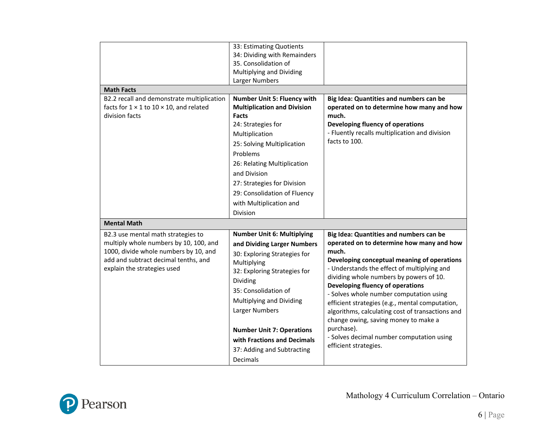| <b>Math Facts</b>                                                                                                                                                                            | 33: Estimating Quotients<br>34: Dividing with Remainders<br>35. Consolidation of<br>Multiplying and Dividing<br>Larger Numbers                                                                                                                                                                                                                 |                                                                                                                                                                                                                                                                                                                                                                                                                                                                                                                                                          |
|----------------------------------------------------------------------------------------------------------------------------------------------------------------------------------------------|------------------------------------------------------------------------------------------------------------------------------------------------------------------------------------------------------------------------------------------------------------------------------------------------------------------------------------------------|----------------------------------------------------------------------------------------------------------------------------------------------------------------------------------------------------------------------------------------------------------------------------------------------------------------------------------------------------------------------------------------------------------------------------------------------------------------------------------------------------------------------------------------------------------|
| B2.2 recall and demonstrate multiplication<br>facts for $1 \times 1$ to $10 \times 10$ , and related<br>division facts                                                                       | <b>Number Unit 5: Fluency with</b><br><b>Multiplication and Division</b><br><b>Facts</b><br>24: Strategies for<br>Multiplication<br>25: Solving Multiplication<br>Problems<br>26: Relating Multiplication<br>and Division<br>27: Strategies for Division<br>29: Consolidation of Fluency<br>with Multiplication and<br>Division                | Big Idea: Quantities and numbers can be<br>operated on to determine how many and how<br>much.<br>Developing fluency of operations<br>- Fluently recalls multiplication and division<br>facts to 100.                                                                                                                                                                                                                                                                                                                                                     |
| <b>Mental Math</b>                                                                                                                                                                           |                                                                                                                                                                                                                                                                                                                                                |                                                                                                                                                                                                                                                                                                                                                                                                                                                                                                                                                          |
| B2.3 use mental math strategies to<br>multiply whole numbers by 10, 100, and<br>1000, divide whole numbers by 10, and<br>add and subtract decimal tenths, and<br>explain the strategies used | <b>Number Unit 6: Multiplying</b><br>and Dividing Larger Numbers<br>30: Exploring Strategies for<br>Multiplying<br>32: Exploring Strategies for<br>Dividing<br>35: Consolidation of<br>Multiplying and Dividing<br>Larger Numbers<br><b>Number Unit 7: Operations</b><br>with Fractions and Decimals<br>37: Adding and Subtracting<br>Decimals | Big Idea: Quantities and numbers can be<br>operated on to determine how many and how<br>much.<br>Developing conceptual meaning of operations<br>- Understands the effect of multiplying and<br>dividing whole numbers by powers of 10.<br>Developing fluency of operations<br>- Solves whole number computation using<br>efficient strategies (e.g., mental computation,<br>algorithms, calculating cost of transactions and<br>change owing, saving money to make a<br>purchase).<br>- Solves decimal number computation using<br>efficient strategies. |

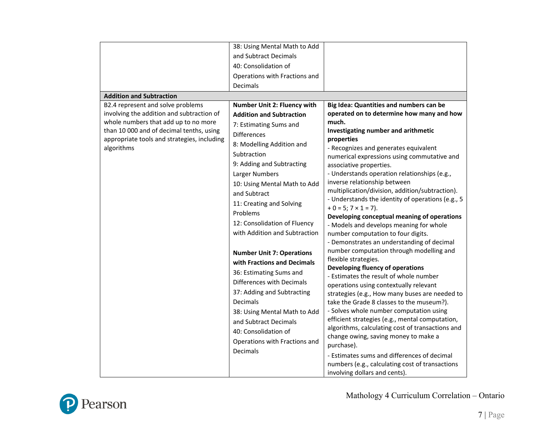|                                             | 38: Using Mental Math to Add       |                                                                                  |
|---------------------------------------------|------------------------------------|----------------------------------------------------------------------------------|
|                                             | and Subtract Decimals              |                                                                                  |
|                                             | 40: Consolidation of               |                                                                                  |
|                                             | Operations with Fractions and      |                                                                                  |
|                                             | Decimals                           |                                                                                  |
| <b>Addition and Subtraction</b>             |                                    |                                                                                  |
| B2.4 represent and solve problems           | <b>Number Unit 2: Fluency with</b> | Big Idea: Quantities and numbers can be                                          |
| involving the addition and subtraction of   |                                    | operated on to determine how many and how                                        |
| whole numbers that add up to no more        | <b>Addition and Subtraction</b>    | much.                                                                            |
| than 10 000 and of decimal tenths, using    | 7: Estimating Sums and             | Investigating number and arithmetic                                              |
| appropriate tools and strategies, including | Differences                        | properties                                                                       |
| algorithms                                  | 8: Modelling Addition and          | - Recognizes and generates equivalent                                            |
|                                             | Subtraction                        | numerical expressions using commutative and                                      |
|                                             | 9: Adding and Subtracting          | associative properties.                                                          |
|                                             | Larger Numbers                     | - Understands operation relationships (e.g.,                                     |
|                                             | 10: Using Mental Math to Add       | inverse relationship between                                                     |
|                                             | and Subtract                       | multiplication/division, addition/subtraction).                                  |
|                                             | 11: Creating and Solving           | - Understands the identity of operations (e.g., 5                                |
|                                             | Problems                           | $+ 0 = 5; 7 \times 1 = 7$ ).                                                     |
|                                             | 12: Consolidation of Fluency       | Developing conceptual meaning of operations                                      |
|                                             | with Addition and Subtraction      | - Models and develops meaning for whole                                          |
|                                             |                                    | number computation to four digits.<br>- Demonstrates an understanding of decimal |
|                                             |                                    | number computation through modelling and                                         |
|                                             | <b>Number Unit 7: Operations</b>   | flexible strategies.                                                             |
|                                             | with Fractions and Decimals        | Developing fluency of operations                                                 |
|                                             | 36: Estimating Sums and            | - Estimates the result of whole number                                           |
|                                             | Differences with Decimals          | operations using contextually relevant                                           |
|                                             | 37: Adding and Subtracting         | strategies (e.g., How many buses are needed to                                   |
|                                             | <b>Decimals</b>                    | take the Grade 8 classes to the museum?).                                        |
|                                             | 38: Using Mental Math to Add       | - Solves whole number computation using                                          |
|                                             | and Subtract Decimals              | efficient strategies (e.g., mental computation,                                  |
|                                             | 40: Consolidation of               | algorithms, calculating cost of transactions and                                 |
|                                             | Operations with Fractions and      | change owing, saving money to make a                                             |
|                                             | Decimals                           | purchase).                                                                       |
|                                             |                                    | - Estimates sums and differences of decimal                                      |
|                                             |                                    | numbers (e.g., calculating cost of transactions                                  |
|                                             |                                    | involving dollars and cents).                                                    |

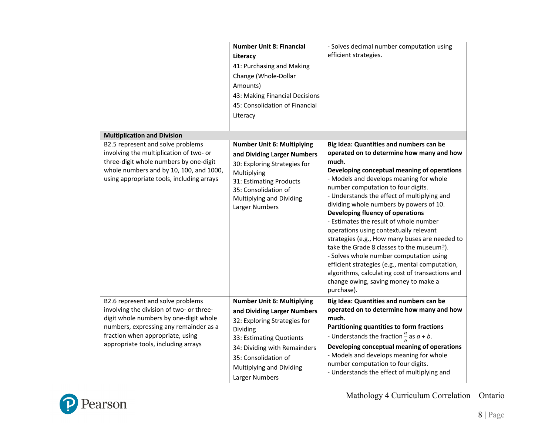|                                                                                                                                                                                                                                                      | <b>Number Unit 8: Financial</b><br>Literacy<br>41: Purchasing and Making<br>Change (Whole-Dollar<br>Amounts)<br>43: Making Financial Decisions<br>45: Consolidation of Financial<br>Literacy                                                   | - Solves decimal number computation using<br>efficient strategies.                                                                                                                                                                                                                                                                                                                                                                                                                                                                                                                                                                                                                                                                                     |
|------------------------------------------------------------------------------------------------------------------------------------------------------------------------------------------------------------------------------------------------------|------------------------------------------------------------------------------------------------------------------------------------------------------------------------------------------------------------------------------------------------|--------------------------------------------------------------------------------------------------------------------------------------------------------------------------------------------------------------------------------------------------------------------------------------------------------------------------------------------------------------------------------------------------------------------------------------------------------------------------------------------------------------------------------------------------------------------------------------------------------------------------------------------------------------------------------------------------------------------------------------------------------|
| <b>Multiplication and Division</b><br>B2.5 represent and solve problems<br>involving the multiplication of two- or<br>three-digit whole numbers by one-digit<br>whole numbers and by 10, 100, and 1000,<br>using appropriate tools, including arrays | <b>Number Unit 6: Multiplying</b><br>and Dividing Larger Numbers<br>30: Exploring Strategies for<br>Multiplying<br>31: Estimating Products<br>35: Consolidation of<br>Multiplying and Dividing<br>Larger Numbers                               | Big Idea: Quantities and numbers can be<br>operated on to determine how many and how<br>much.<br>Developing conceptual meaning of operations<br>- Models and develops meaning for whole<br>number computation to four digits.<br>- Understands the effect of multiplying and<br>dividing whole numbers by powers of 10.<br>Developing fluency of operations<br>- Estimates the result of whole number<br>operations using contextually relevant<br>strategies (e.g., How many buses are needed to<br>take the Grade 8 classes to the museum?).<br>- Solves whole number computation using<br>efficient strategies (e.g., mental computation,<br>algorithms, calculating cost of transactions and<br>change owing, saving money to make a<br>purchase). |
| B2.6 represent and solve problems<br>involving the division of two- or three-<br>digit whole numbers by one-digit whole<br>numbers, expressing any remainder as a<br>fraction when appropriate, using<br>appropriate tools, including arrays         | <b>Number Unit 6: Multiplying</b><br>and Dividing Larger Numbers<br>32: Exploring Strategies for<br>Dividing<br>33: Estimating Quotients<br>34: Dividing with Remainders<br>35: Consolidation of<br>Multiplying and Dividing<br>Larger Numbers | Big Idea: Quantities and numbers can be<br>operated on to determine how many and how<br>much.<br>Partitioning quantities to form fractions<br>- Understands the fraction $\frac{a}{b}$ as $a \div b$ .<br>Developing conceptual meaning of operations<br>- Models and develops meaning for whole<br>number computation to four digits.<br>- Understands the effect of multiplying and                                                                                                                                                                                                                                                                                                                                                                  |

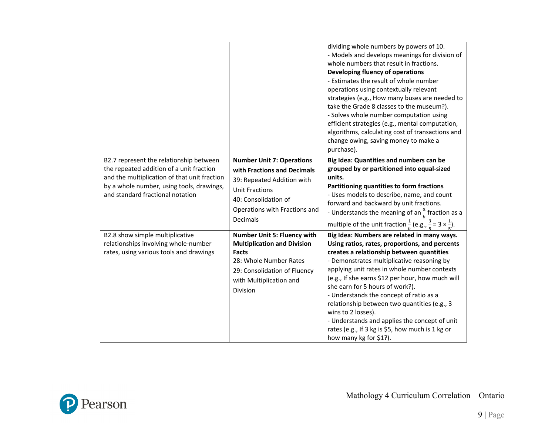|                                                                                                                                                                                                                      |                                                                                                                                                                                                  | dividing whole numbers by powers of 10.<br>- Models and develops meanings for division of<br>whole numbers that result in fractions.<br>Developing fluency of operations<br>- Estimates the result of whole number<br>operations using contextually relevant<br>strategies (e.g., How many buses are needed to<br>take the Grade 8 classes to the museum?).<br>- Solves whole number computation using<br>efficient strategies (e.g., mental computation,<br>algorithms, calculating cost of transactions and<br>change owing, saving money to make a<br>purchase).             |
|----------------------------------------------------------------------------------------------------------------------------------------------------------------------------------------------------------------------|--------------------------------------------------------------------------------------------------------------------------------------------------------------------------------------------------|---------------------------------------------------------------------------------------------------------------------------------------------------------------------------------------------------------------------------------------------------------------------------------------------------------------------------------------------------------------------------------------------------------------------------------------------------------------------------------------------------------------------------------------------------------------------------------|
| B2.7 represent the relationship between<br>the repeated addition of a unit fraction<br>and the multiplication of that unit fraction<br>by a whole number, using tools, drawings,<br>and standard fractional notation | <b>Number Unit 7: Operations</b><br>with Fractions and Decimals<br>39: Repeated Addition with<br><b>Unit Fractions</b><br>40: Consolidation of<br>Operations with Fractions and<br>Decimals      | Big Idea: Quantities and numbers can be<br>grouped by or partitioned into equal-sized<br>units.<br>Partitioning quantities to form fractions<br>- Uses models to describe, name, and count<br>forward and backward by unit fractions.<br>- Understands the meaning of an $\frac{a}{b}$ fraction as a<br>multiple of the unit fraction $\frac{1}{b}$ (e.g., $\frac{3}{5}$ = 3 $\times \frac{1}{5}$ ).                                                                                                                                                                            |
| B2.8 show simple multiplicative<br>relationships involving whole-number<br>rates, using various tools and drawings                                                                                                   | <b>Number Unit 5: Fluency with</b><br><b>Multiplication and Division</b><br><b>Facts</b><br>28: Whole Number Rates<br>29: Consolidation of Fluency<br>with Multiplication and<br><b>Division</b> | Big Idea: Numbers are related in many ways.<br>Using ratios, rates, proportions, and percents<br>creates a relationship between quantities<br>- Demonstrates multiplicative reasoning by<br>applying unit rates in whole number contexts<br>(e.g., If she earns \$12 per hour, how much will<br>she earn for 5 hours of work?).<br>- Understands the concept of ratio as a<br>relationship between two quantities (e.g., 3<br>wins to 2 losses).<br>- Understands and applies the concept of unit<br>rates (e.g., If 3 kg is \$5, how much is 1 kg or<br>how many kg for \$1?). |

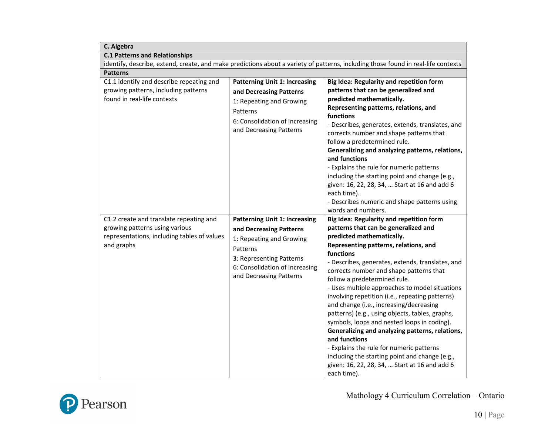| C. Algebra                                                                                                                             |                                                                                                                                                                                                  |                                                                                                                                                                                                                                                                                                                                                                                                                                                                                                                                                                                                                                                                                                                                                                                               |  |
|----------------------------------------------------------------------------------------------------------------------------------------|--------------------------------------------------------------------------------------------------------------------------------------------------------------------------------------------------|-----------------------------------------------------------------------------------------------------------------------------------------------------------------------------------------------------------------------------------------------------------------------------------------------------------------------------------------------------------------------------------------------------------------------------------------------------------------------------------------------------------------------------------------------------------------------------------------------------------------------------------------------------------------------------------------------------------------------------------------------------------------------------------------------|--|
| <b>C.1 Patterns and Relationships</b>                                                                                                  |                                                                                                                                                                                                  |                                                                                                                                                                                                                                                                                                                                                                                                                                                                                                                                                                                                                                                                                                                                                                                               |  |
| identify, describe, extend, create, and make predictions about a variety of patterns, including those found in real-life contexts      |                                                                                                                                                                                                  |                                                                                                                                                                                                                                                                                                                                                                                                                                                                                                                                                                                                                                                                                                                                                                                               |  |
| <b>Patterns</b>                                                                                                                        |                                                                                                                                                                                                  |                                                                                                                                                                                                                                                                                                                                                                                                                                                                                                                                                                                                                                                                                                                                                                                               |  |
| C1.1 identify and describe repeating and<br>growing patterns, including patterns<br>found in real-life contexts                        | <b>Patterning Unit 1: Increasing</b><br>and Decreasing Patterns<br>1: Repeating and Growing<br>Patterns<br>6: Consolidation of Increasing<br>and Decreasing Patterns                             | Big Idea: Regularity and repetition form<br>patterns that can be generalized and<br>predicted mathematically.<br>Representing patterns, relations, and<br>functions<br>- Describes, generates, extends, translates, and<br>corrects number and shape patterns that<br>follow a predetermined rule.<br>Generalizing and analyzing patterns, relations,<br>and functions<br>- Explains the rule for numeric patterns<br>including the starting point and change (e.g.,<br>given: 16, 22, 28, 34,  Start at 16 and add 6<br>each time).<br>- Describes numeric and shape patterns using<br>words and numbers.                                                                                                                                                                                    |  |
| C1.2 create and translate repeating and<br>growing patterns using various<br>representations, including tables of values<br>and graphs | <b>Patterning Unit 1: Increasing</b><br>and Decreasing Patterns<br>1: Repeating and Growing<br>Patterns<br>3: Representing Patterns<br>6: Consolidation of Increasing<br>and Decreasing Patterns | <b>Big Idea: Regularity and repetition form</b><br>patterns that can be generalized and<br>predicted mathematically.<br>Representing patterns, relations, and<br>functions<br>- Describes, generates, extends, translates, and<br>corrects number and shape patterns that<br>follow a predetermined rule.<br>- Uses multiple approaches to model situations<br>involving repetition (i.e., repeating patterns)<br>and change (i.e., increasing/decreasing<br>patterns) (e.g., using objects, tables, graphs,<br>symbols, loops and nested loops in coding).<br>Generalizing and analyzing patterns, relations,<br>and functions<br>- Explains the rule for numeric patterns<br>including the starting point and change (e.g.,<br>given: 16, 22, 28, 34,  Start at 16 and add 6<br>each time). |  |

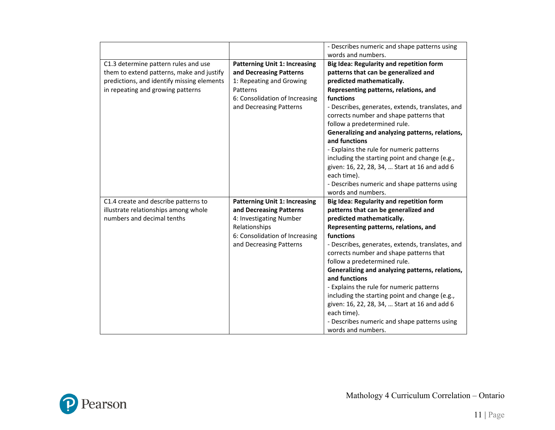|                                            |                                      | - Describes numeric and shape patterns using     |
|--------------------------------------------|--------------------------------------|--------------------------------------------------|
|                                            |                                      | words and numbers.                               |
|                                            |                                      |                                                  |
| C1.3 determine pattern rules and use       | <b>Patterning Unit 1: Increasing</b> | Big Idea: Regularity and repetition form         |
| them to extend patterns, make and justify  | and Decreasing Patterns              | patterns that can be generalized and             |
| predictions, and identify missing elements | 1: Repeating and Growing             | predicted mathematically.                        |
| in repeating and growing patterns          | Patterns                             | Representing patterns, relations, and            |
|                                            | 6: Consolidation of Increasing       | functions                                        |
|                                            | and Decreasing Patterns              | - Describes, generates, extends, translates, and |
|                                            |                                      | corrects number and shape patterns that          |
|                                            |                                      | follow a predetermined rule.                     |
|                                            |                                      | Generalizing and analyzing patterns, relations,  |
|                                            |                                      | and functions                                    |
|                                            |                                      | - Explains the rule for numeric patterns         |
|                                            |                                      | including the starting point and change (e.g.,   |
|                                            |                                      | given: 16, 22, 28, 34,  Start at 16 and add 6    |
|                                            |                                      | each time).                                      |
|                                            |                                      | - Describes numeric and shape patterns using     |
|                                            |                                      | words and numbers.                               |
| C1.4 create and describe patterns to       | <b>Patterning Unit 1: Increasing</b> | Big Idea: Regularity and repetition form         |
| illustrate relationships among whole       | and Decreasing Patterns              | patterns that can be generalized and             |
| numbers and decimal tenths                 | 4: Investigating Number              | predicted mathematically.                        |
|                                            | Relationships                        | Representing patterns, relations, and            |
|                                            | 6: Consolidation of Increasing       | functions                                        |
|                                            | and Decreasing Patterns              | - Describes, generates, extends, translates, and |
|                                            |                                      | corrects number and shape patterns that          |
|                                            |                                      | follow a predetermined rule.                     |
|                                            |                                      | Generalizing and analyzing patterns, relations,  |
|                                            |                                      | and functions                                    |
|                                            |                                      | - Explains the rule for numeric patterns         |
|                                            |                                      | including the starting point and change (e.g.,   |
|                                            |                                      | given: 16, 22, 28, 34,  Start at 16 and add 6    |
|                                            |                                      | each time).                                      |
|                                            |                                      |                                                  |
|                                            |                                      | - Describes numeric and shape patterns using     |

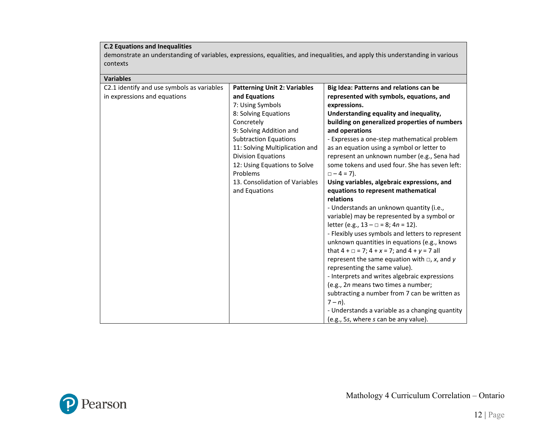## **C.2 Equations and Inequalities**

demonstrate an understanding of variables, expressions, equalities, and inequalities, and apply this understanding in various contexts

| <b>Variables</b>                           |                                     |                                                            |  |
|--------------------------------------------|-------------------------------------|------------------------------------------------------------|--|
| C2.1 identify and use symbols as variables | <b>Patterning Unit 2: Variables</b> | Big Idea: Patterns and relations can be                    |  |
| in expressions and equations               | and Equations                       | represented with symbols, equations, and                   |  |
|                                            | 7: Using Symbols                    | expressions.                                               |  |
|                                            | 8: Solving Equations                | Understanding equality and inequality,                     |  |
|                                            | Concretely                          | building on generalized properties of numbers              |  |
|                                            | 9: Solving Addition and             | and operations                                             |  |
|                                            | <b>Subtraction Equations</b>        | - Expresses a one-step mathematical problem                |  |
|                                            | 11: Solving Multiplication and      | as an equation using a symbol or letter to                 |  |
|                                            | <b>Division Equations</b>           | represent an unknown number (e.g., Sena had                |  |
|                                            | 12: Using Equations to Solve        | some tokens and used four. She has seven left:             |  |
|                                            | Problems                            | $\Box - 4 = 7$ ).                                          |  |
|                                            | 13. Consolidation of Variables      | Using variables, algebraic expressions, and                |  |
|                                            | and Equations                       | equations to represent mathematical                        |  |
|                                            |                                     | relations                                                  |  |
|                                            |                                     | - Understands an unknown quantity (i.e.,                   |  |
|                                            |                                     | variable) may be represented by a symbol or                |  |
|                                            |                                     | letter (e.g., $13 - \square = 8$ ; $4n = 12$ ).            |  |
|                                            |                                     | - Flexibly uses symbols and letters to represent           |  |
|                                            |                                     | unknown quantities in equations (e.g., knows               |  |
|                                            |                                     | that $4 + \square = 7$ ; $4 + x = 7$ ; and $4 + y = 7$ all |  |
|                                            |                                     | represent the same equation with $\Box$ , x, and y         |  |
|                                            |                                     | representing the same value).                              |  |
|                                            |                                     | - Interprets and writes algebraic expressions              |  |
|                                            |                                     | (e.g., 2n means two times a number;                        |  |
|                                            |                                     | subtracting a number from 7 can be written as              |  |
|                                            |                                     | $7 - n$ ).                                                 |  |
|                                            |                                     | - Understands a variable as a changing quantity            |  |
|                                            |                                     | (e.g., 5s, where s can be any value).                      |  |

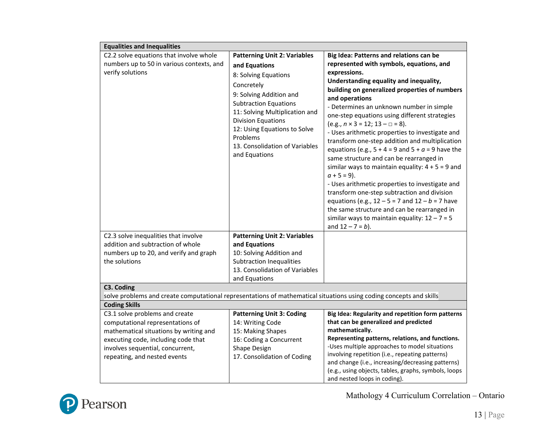| <b>Equalities and Inequalities</b>                                                                                  |                                     |                                                                                                   |
|---------------------------------------------------------------------------------------------------------------------|-------------------------------------|---------------------------------------------------------------------------------------------------|
| C2.2 solve equations that involve whole                                                                             | <b>Patterning Unit 2: Variables</b> | Big Idea: Patterns and relations can be                                                           |
| numbers up to 50 in various contexts, and                                                                           | and Equations                       | represented with symbols, equations, and                                                          |
| verify solutions                                                                                                    | 8: Solving Equations                | expressions.                                                                                      |
|                                                                                                                     | Concretely                          | Understanding equality and inequality,                                                            |
|                                                                                                                     |                                     | building on generalized properties of numbers                                                     |
|                                                                                                                     | 9: Solving Addition and             | and operations                                                                                    |
|                                                                                                                     | <b>Subtraction Equations</b>        | - Determines an unknown number in simple                                                          |
|                                                                                                                     | 11: Solving Multiplication and      | one-step equations using different strategies                                                     |
|                                                                                                                     | <b>Division Equations</b>           | $(e.g., n \times 3 = 12; 13 - \square = 8).$                                                      |
|                                                                                                                     | 12: Using Equations to Solve        | - Uses arithmetic properties to investigate and                                                   |
|                                                                                                                     | Problems                            | transform one-step addition and multiplication                                                    |
|                                                                                                                     | 13. Consolidation of Variables      | equations (e.g., $5 + 4 = 9$ and $5 + a = 9$ have the                                             |
|                                                                                                                     | and Equations                       | same structure and can be rearranged in                                                           |
|                                                                                                                     |                                     | similar ways to maintain equality: $4 + 5 = 9$ and                                                |
|                                                                                                                     |                                     | $a + 5 = 9$ ).                                                                                    |
|                                                                                                                     |                                     | - Uses arithmetic properties to investigate and                                                   |
|                                                                                                                     |                                     | transform one-step subtraction and division                                                       |
|                                                                                                                     |                                     | equations (e.g., $12 - 5 = 7$ and $12 - b = 7$ have                                               |
|                                                                                                                     |                                     | the same structure and can be rearranged in                                                       |
|                                                                                                                     |                                     | similar ways to maintain equality: $12 - 7 = 5$                                                   |
|                                                                                                                     |                                     | and $12 - 7 = b$ ).                                                                               |
| C2.3 solve inequalities that involve                                                                                | <b>Patterning Unit 2: Variables</b> |                                                                                                   |
| addition and subtraction of whole                                                                                   | and Equations                       |                                                                                                   |
| numbers up to 20, and verify and graph                                                                              | 10: Solving Addition and            |                                                                                                   |
| the solutions                                                                                                       | <b>Subtraction Inequalities</b>     |                                                                                                   |
|                                                                                                                     | 13. Consolidation of Variables      |                                                                                                   |
|                                                                                                                     | and Equations                       |                                                                                                   |
| C3. Coding                                                                                                          |                                     |                                                                                                   |
| solve problems and create computational representations of mathematical situations using coding concepts and skills |                                     |                                                                                                   |
| <b>Coding Skills</b>                                                                                                |                                     |                                                                                                   |
| C3.1 solve problems and create                                                                                      | <b>Patterning Unit 3: Coding</b>    | Big Idea: Regularity and repetition form patterns                                                 |
| computational representations of                                                                                    | 14: Writing Code                    | that can be generalized and predicted                                                             |
| mathematical situations by writing and                                                                              | 15: Making Shapes                   | mathematically.                                                                                   |
| executing code, including code that                                                                                 | 16: Coding a Concurrent             | Representing patterns, relations, and functions.<br>-Uses multiple approaches to model situations |
| involves sequential, concurrent,                                                                                    | Shape Design                        | involving repetition (i.e., repeating patterns)                                                   |
| repeating, and nested events                                                                                        | 17. Consolidation of Coding         | and change (i.e., increasing/decreasing patterns)                                                 |
|                                                                                                                     |                                     | (e.g., using objects, tables, graphs, symbols, loops                                              |
|                                                                                                                     |                                     | and nested loops in coding).                                                                      |

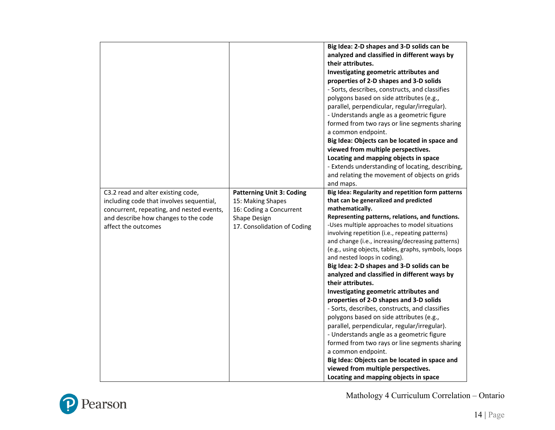| C3.2 read and alter existing code,                                                    | <b>Patterning Unit 3: Coding</b>             | Big Idea: 2-D shapes and 3-D solids can be<br>analyzed and classified in different ways by<br>their attributes.<br>Investigating geometric attributes and<br>properties of 2-D shapes and 3-D solids<br>- Sorts, describes, constructs, and classifies<br>polygons based on side attributes (e.g.,<br>parallel, perpendicular, regular/irregular).<br>- Understands angle as a geometric figure<br>formed from two rays or line segments sharing<br>a common endpoint.<br>Big Idea: Objects can be located in space and<br>viewed from multiple perspectives.<br>Locating and mapping objects in space<br>- Extends understanding of locating, describing,<br>and relating the movement of objects on grids<br>and maps.<br>Big Idea: Regularity and repetition form patterns                                                                                                                               |
|---------------------------------------------------------------------------------------|----------------------------------------------|-------------------------------------------------------------------------------------------------------------------------------------------------------------------------------------------------------------------------------------------------------------------------------------------------------------------------------------------------------------------------------------------------------------------------------------------------------------------------------------------------------------------------------------------------------------------------------------------------------------------------------------------------------------------------------------------------------------------------------------------------------------------------------------------------------------------------------------------------------------------------------------------------------------|
| including code that involves sequential,<br>concurrent, repeating, and nested events, | 15: Making Shapes<br>16: Coding a Concurrent | that can be generalized and predicted<br>mathematically.                                                                                                                                                                                                                                                                                                                                                                                                                                                                                                                                                                                                                                                                                                                                                                                                                                                    |
| and describe how changes to the code<br>affect the outcomes                           | Shape Design<br>17. Consolidation of Coding  | Representing patterns, relations, and functions.<br>-Uses multiple approaches to model situations<br>involving repetition (i.e., repeating patterns)<br>and change (i.e., increasing/decreasing patterns)<br>(e.g., using objects, tables, graphs, symbols, loops<br>and nested loops in coding).<br>Big Idea: 2-D shapes and 3-D solids can be<br>analyzed and classified in different ways by<br>their attributes.<br>Investigating geometric attributes and<br>properties of 2-D shapes and 3-D solids<br>- Sorts, describes, constructs, and classifies<br>polygons based on side attributes (e.g.,<br>parallel, perpendicular, regular/irregular).<br>- Understands angle as a geometric figure<br>formed from two rays or line segments sharing<br>a common endpoint.<br>Big Idea: Objects can be located in space and<br>viewed from multiple perspectives.<br>Locating and mapping objects in space |

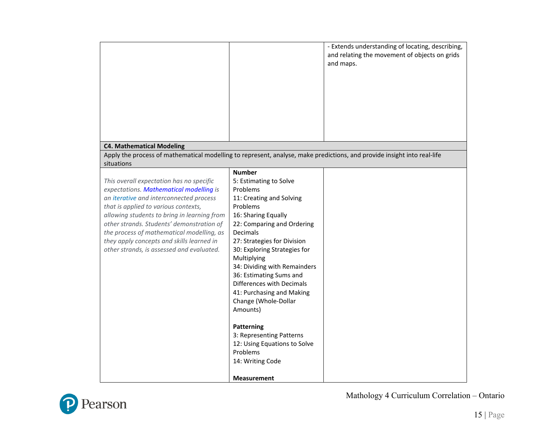|                                                                                                                                                                                                                                                                                                                                                                                                           |                                                                                                                                                                                                                                                                                                                                                                                                     | - Extends understanding of locating, describing,<br>and relating the movement of objects on grids<br>and maps. |
|-----------------------------------------------------------------------------------------------------------------------------------------------------------------------------------------------------------------------------------------------------------------------------------------------------------------------------------------------------------------------------------------------------------|-----------------------------------------------------------------------------------------------------------------------------------------------------------------------------------------------------------------------------------------------------------------------------------------------------------------------------------------------------------------------------------------------------|----------------------------------------------------------------------------------------------------------------|
| <b>C4. Mathematical Modeling</b>                                                                                                                                                                                                                                                                                                                                                                          |                                                                                                                                                                                                                                                                                                                                                                                                     |                                                                                                                |
| Apply the process of mathematical modelling to represent, analyse, make predictions, and provide insight into real-life                                                                                                                                                                                                                                                                                   |                                                                                                                                                                                                                                                                                                                                                                                                     |                                                                                                                |
| situations                                                                                                                                                                                                                                                                                                                                                                                                |                                                                                                                                                                                                                                                                                                                                                                                                     |                                                                                                                |
| This overall expectation has no specific<br>expectations. Mathematical modelling is<br>an iterative and interconnected process<br>that is applied to various contexts,<br>allowing students to bring in learning from<br>other strands. Students' demonstration of<br>the process of mathematical modelling, as<br>they apply concepts and skills learned in<br>other strands, is assessed and evaluated. | <b>Number</b><br>5: Estimating to Solve<br>Problems<br>11: Creating and Solving<br>Problems<br>16: Sharing Equally<br>22: Comparing and Ordering<br>Decimals<br>27: Strategies for Division<br>30: Exploring Strategies for<br>Multiplying<br>34: Dividing with Remainders<br>36: Estimating Sums and<br>Differences with Decimals<br>41: Purchasing and Making<br>Change (Whole-Dollar<br>Amounts) |                                                                                                                |
|                                                                                                                                                                                                                                                                                                                                                                                                           | Patterning<br>3: Representing Patterns<br>12: Using Equations to Solve<br>Problems<br>14: Writing Code<br><b>Measurement</b>                                                                                                                                                                                                                                                                        |                                                                                                                |

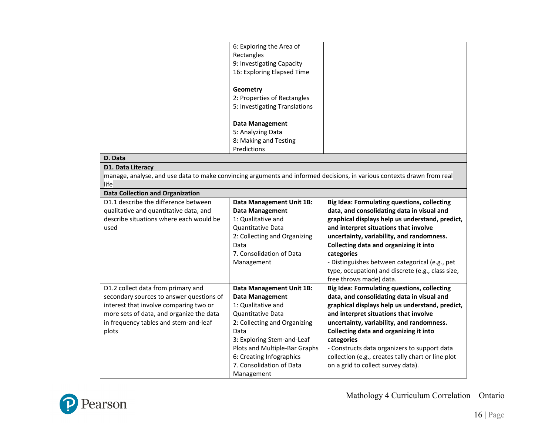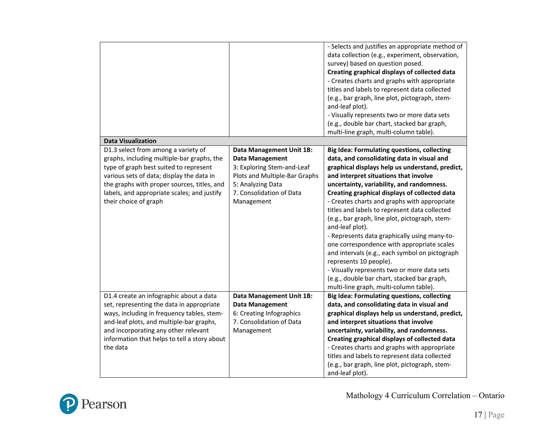| <b>Data Visualization</b>                                |                                 | - Selects and justifies an appropriate method of<br>data collection (e.g., experiment, observation,<br>survey) based on question posed.<br>Creating graphical displays of collected data<br>- Creates charts and graphs with appropriate<br>titles and labels to represent data collected<br>(e.g., bar graph, line plot, pictograph, stem-<br>and-leaf plot).<br>- Visually represents two or more data sets<br>(e.g., double bar chart, stacked bar graph,<br>multi-line graph, multi-column table). |
|----------------------------------------------------------|---------------------------------|--------------------------------------------------------------------------------------------------------------------------------------------------------------------------------------------------------------------------------------------------------------------------------------------------------------------------------------------------------------------------------------------------------------------------------------------------------------------------------------------------------|
| D1.3 select from among a variety of                      | <b>Data Management Unit 1B:</b> | <b>Big Idea: Formulating questions, collecting</b>                                                                                                                                                                                                                                                                                                                                                                                                                                                     |
| graphs, including multiple-bar graphs, the               | <b>Data Management</b>          | data, and consolidating data in visual and                                                                                                                                                                                                                                                                                                                                                                                                                                                             |
| type of graph best suited to represent                   | 3: Exploring Stem-and-Leaf      | graphical displays help us understand, predict,                                                                                                                                                                                                                                                                                                                                                                                                                                                        |
| various sets of data; display the data in                | Plots and Multiple-Bar Graphs   | and interpret situations that involve                                                                                                                                                                                                                                                                                                                                                                                                                                                                  |
| the graphs with proper sources, titles, and              | 5: Analyzing Data               | uncertainty, variability, and randomness.                                                                                                                                                                                                                                                                                                                                                                                                                                                              |
| labels, and appropriate scales; and justify              | 7. Consolidation of Data        | Creating graphical displays of collected data                                                                                                                                                                                                                                                                                                                                                                                                                                                          |
| their choice of graph                                    | Management                      | - Creates charts and graphs with appropriate                                                                                                                                                                                                                                                                                                                                                                                                                                                           |
|                                                          |                                 | titles and labels to represent data collected                                                                                                                                                                                                                                                                                                                                                                                                                                                          |
|                                                          |                                 | (e.g., bar graph, line plot, pictograph, stem-<br>and-leaf plot).                                                                                                                                                                                                                                                                                                                                                                                                                                      |
|                                                          |                                 | - Represents data graphically using many-to-                                                                                                                                                                                                                                                                                                                                                                                                                                                           |
|                                                          |                                 | one correspondence with appropriate scales                                                                                                                                                                                                                                                                                                                                                                                                                                                             |
|                                                          |                                 | and intervals (e.g., each symbol on pictograph                                                                                                                                                                                                                                                                                                                                                                                                                                                         |
|                                                          |                                 | represents 10 people).                                                                                                                                                                                                                                                                                                                                                                                                                                                                                 |
|                                                          |                                 | - Visually represents two or more data sets                                                                                                                                                                                                                                                                                                                                                                                                                                                            |
|                                                          |                                 | (e.g., double bar chart, stacked bar graph,                                                                                                                                                                                                                                                                                                                                                                                                                                                            |
|                                                          |                                 | multi-line graph, multi-column table).                                                                                                                                                                                                                                                                                                                                                                                                                                                                 |
| D1.4 create an infographic about a data                  | <b>Data Management Unit 1B:</b> | <b>Big Idea: Formulating questions, collecting</b>                                                                                                                                                                                                                                                                                                                                                                                                                                                     |
| set, representing the data in appropriate                | <b>Data Management</b>          | data, and consolidating data in visual and                                                                                                                                                                                                                                                                                                                                                                                                                                                             |
| ways, including in frequency tables, stem-               | 6: Creating Infographics        | graphical displays help us understand, predict,                                                                                                                                                                                                                                                                                                                                                                                                                                                        |
| and-leaf plots, and multiple-bar graphs,                 | 7. Consolidation of Data        | and interpret situations that involve                                                                                                                                                                                                                                                                                                                                                                                                                                                                  |
| and incorporating any other relevant                     | Management                      | uncertainty, variability, and randomness.                                                                                                                                                                                                                                                                                                                                                                                                                                                              |
| information that helps to tell a story about<br>the data |                                 | Creating graphical displays of collected data                                                                                                                                                                                                                                                                                                                                                                                                                                                          |
|                                                          |                                 | - Creates charts and graphs with appropriate                                                                                                                                                                                                                                                                                                                                                                                                                                                           |
|                                                          |                                 | titles and labels to represent data collected<br>(e.g., bar graph, line plot, pictograph, stem-                                                                                                                                                                                                                                                                                                                                                                                                        |
|                                                          |                                 | and-leaf plot).                                                                                                                                                                                                                                                                                                                                                                                                                                                                                        |

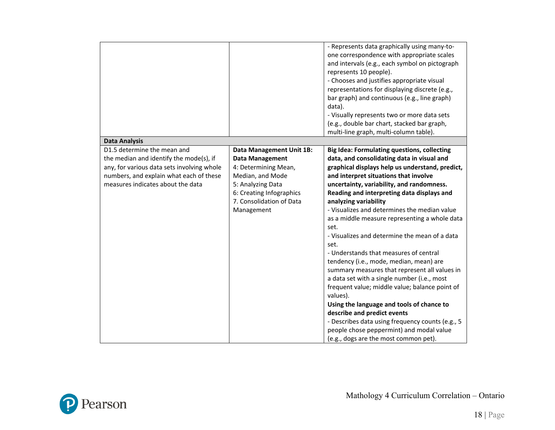|                                                                                                                                                                                                      |                                                                                                                                                                                                  | - Represents data graphically using many-to-<br>one correspondence with appropriate scales<br>and intervals (e.g., each symbol on pictograph<br>represents 10 people).<br>- Chooses and justifies appropriate visual<br>representations for displaying discrete (e.g.,<br>bar graph) and continuous (e.g., line graph)<br>data).<br>- Visually represents two or more data sets<br>(e.g., double bar chart, stacked bar graph,<br>multi-line graph, multi-column table).                                                                                                                                                                                                                                                                                                                                                                                                                                                                                   |
|------------------------------------------------------------------------------------------------------------------------------------------------------------------------------------------------------|--------------------------------------------------------------------------------------------------------------------------------------------------------------------------------------------------|------------------------------------------------------------------------------------------------------------------------------------------------------------------------------------------------------------------------------------------------------------------------------------------------------------------------------------------------------------------------------------------------------------------------------------------------------------------------------------------------------------------------------------------------------------------------------------------------------------------------------------------------------------------------------------------------------------------------------------------------------------------------------------------------------------------------------------------------------------------------------------------------------------------------------------------------------------|
| <b>Data Analysis</b>                                                                                                                                                                                 |                                                                                                                                                                                                  |                                                                                                                                                                                                                                                                                                                                                                                                                                                                                                                                                                                                                                                                                                                                                                                                                                                                                                                                                            |
| D1.5 determine the mean and<br>the median and identify the mode(s), if<br>any, for various data sets involving whole<br>numbers, and explain what each of these<br>measures indicates about the data | <b>Data Management Unit 1B:</b><br><b>Data Management</b><br>4: Determining Mean,<br>Median, and Mode<br>5: Analyzing Data<br>6: Creating Infographics<br>7. Consolidation of Data<br>Management | <b>Big Idea: Formulating questions, collecting</b><br>data, and consolidating data in visual and<br>graphical displays help us understand, predict,<br>and interpret situations that involve<br>uncertainty, variability, and randomness.<br>Reading and interpreting data displays and<br>analyzing variability<br>- Visualizes and determines the median value<br>as a middle measure representing a whole data<br>set.<br>- Visualizes and determine the mean of a data<br>set.<br>- Understands that measures of central<br>tendency (i.e., mode, median, mean) are<br>summary measures that represent all values in<br>a data set with a single number (i.e., most<br>frequent value; middle value; balance point of<br>values).<br>Using the language and tools of chance to<br>describe and predict events<br>- Describes data using frequency counts (e.g., 5<br>people chose peppermint) and modal value<br>(e.g., dogs are the most common pet). |

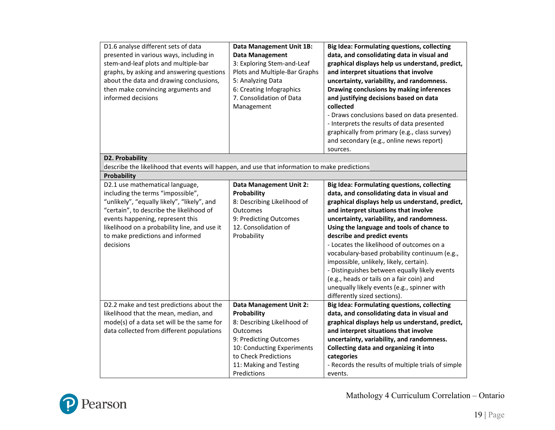| D1.6 analyse different sets of data<br>presented in various ways, including in<br>stem-and-leaf plots and multiple-bar<br>graphs, by asking and answering questions<br>about the data and drawing conclusions,<br>then make convincing arguments and<br>informed decisions                           | <b>Data Management Unit 1B:</b><br><b>Data Management</b><br>3: Exploring Stem-and-Leaf<br>Plots and Multiple-Bar Graphs<br>5: Analyzing Data<br>6: Creating Infographics<br>7. Consolidation of Data<br>Management | <b>Big Idea: Formulating questions, collecting</b><br>data, and consolidating data in visual and<br>graphical displays help us understand, predict,<br>and interpret situations that involve<br>uncertainty, variability, and randomness.<br>Drawing conclusions by making inferences<br>and justifying decisions based on data<br>collected<br>- Draws conclusions based on data presented.<br>- Interprets the results of data presented<br>graphically from primary (e.g., class survey)<br>and secondary (e.g., online news report)<br>sources.                                                                                         |
|------------------------------------------------------------------------------------------------------------------------------------------------------------------------------------------------------------------------------------------------------------------------------------------------------|---------------------------------------------------------------------------------------------------------------------------------------------------------------------------------------------------------------------|---------------------------------------------------------------------------------------------------------------------------------------------------------------------------------------------------------------------------------------------------------------------------------------------------------------------------------------------------------------------------------------------------------------------------------------------------------------------------------------------------------------------------------------------------------------------------------------------------------------------------------------------|
| D2. Probability<br>describe the likelihood that events will happen, and use that information to make predictions                                                                                                                                                                                     |                                                                                                                                                                                                                     |                                                                                                                                                                                                                                                                                                                                                                                                                                                                                                                                                                                                                                             |
| Probability                                                                                                                                                                                                                                                                                          |                                                                                                                                                                                                                     |                                                                                                                                                                                                                                                                                                                                                                                                                                                                                                                                                                                                                                             |
| D2.1 use mathematical language,<br>including the terms "impossible",<br>"unlikely", "equally likely", "likely", and<br>"certain", to describe the likelihood of<br>events happening, represent this<br>likelihood on a probability line, and use it<br>to make predictions and informed<br>decisions | <b>Data Management Unit 2:</b><br>Probability<br>8: Describing Likelihood of<br>Outcomes<br>9: Predicting Outcomes<br>12. Consolidation of<br>Probability                                                           | <b>Big Idea: Formulating questions, collecting</b><br>data, and consolidating data in visual and<br>graphical displays help us understand, predict,<br>and interpret situations that involve<br>uncertainty, variability, and randomness.<br>Using the language and tools of chance to<br>describe and predict events<br>- Locates the likelihood of outcomes on a<br>vocabulary-based probability continuum (e.g.,<br>impossible, unlikely, likely, certain).<br>- Distinguishes between equally likely events<br>(e.g., heads or tails on a fair coin) and<br>unequally likely events (e.g., spinner with<br>differently sized sections). |
| D2.2 make and test predictions about the<br>likelihood that the mean, median, and<br>mode(s) of a data set will be the same for<br>data collected from different populations                                                                                                                         | <b>Data Management Unit 2:</b><br>Probability<br>8: Describing Likelihood of<br>Outcomes<br>9: Predicting Outcomes<br>10: Conducting Experiments<br>to Check Predictions<br>11: Making and Testing<br>Predictions   | <b>Big Idea: Formulating questions, collecting</b><br>data, and consolidating data in visual and<br>graphical displays help us understand, predict,<br>and interpret situations that involve<br>uncertainty, variability, and randomness.<br>Collecting data and organizing it into<br>categories<br>- Records the results of multiple trials of simple<br>events.                                                                                                                                                                                                                                                                          |

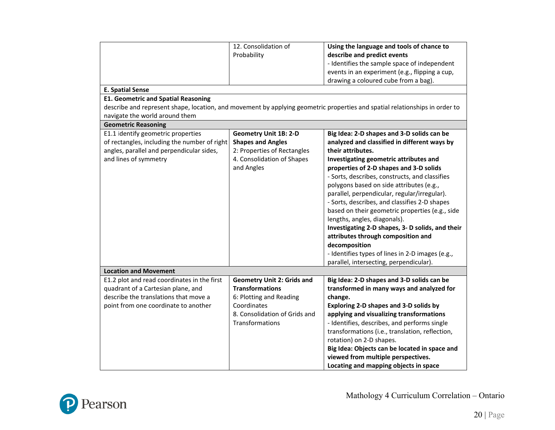|                                              | 12. Consolidation of              | Using the language and tools of chance to                                                                                   |
|----------------------------------------------|-----------------------------------|-----------------------------------------------------------------------------------------------------------------------------|
|                                              | Probability                       | describe and predict events                                                                                                 |
|                                              |                                   | - Identifies the sample space of independent                                                                                |
|                                              |                                   | events in an experiment (e.g., flipping a cup,                                                                              |
|                                              |                                   | drawing a coloured cube from a bag).                                                                                        |
| <b>E. Spatial Sense</b>                      |                                   |                                                                                                                             |
| <b>E1. Geometric and Spatial Reasoning</b>   |                                   |                                                                                                                             |
|                                              |                                   | describe and represent shape, location, and movement by applying geometric properties and spatial relationships in order to |
| navigate the world around them               |                                   |                                                                                                                             |
| <b>Geometric Reasoning</b>                   |                                   |                                                                                                                             |
| E1.1 identify geometric properties           | <b>Geometry Unit 1B: 2-D</b>      | Big Idea: 2-D shapes and 3-D solids can be                                                                                  |
| of rectangles, including the number of right | <b>Shapes and Angles</b>          | analyzed and classified in different ways by                                                                                |
| angles, parallel and perpendicular sides,    | 2: Properties of Rectangles       | their attributes.                                                                                                           |
| and lines of symmetry                        | 4. Consolidation of Shapes        | Investigating geometric attributes and                                                                                      |
|                                              | and Angles                        | properties of 2-D shapes and 3-D solids                                                                                     |
|                                              |                                   | - Sorts, describes, constructs, and classifies                                                                              |
|                                              |                                   | polygons based on side attributes (e.g.,                                                                                    |
|                                              |                                   | parallel, perpendicular, regular/irregular).                                                                                |
|                                              |                                   | - Sorts, describes, and classifies 2-D shapes                                                                               |
|                                              |                                   | based on their geometric properties (e.g., side                                                                             |
|                                              |                                   |                                                                                                                             |
|                                              |                                   | lengths, angles, diagonals).                                                                                                |
|                                              |                                   | Investigating 2-D shapes, 3- D solids, and their                                                                            |
|                                              |                                   | attributes through composition and                                                                                          |
|                                              |                                   | decomposition                                                                                                               |
|                                              |                                   | - Identifies types of lines in 2-D images (e.g.,                                                                            |
|                                              |                                   | parallel, intersecting, perpendicular).                                                                                     |
| <b>Location and Movement</b>                 |                                   |                                                                                                                             |
| E1.2 plot and read coordinates in the first  | <b>Geometry Unit 2: Grids and</b> | Big Idea: 2-D shapes and 3-D solids can be                                                                                  |
| quadrant of a Cartesian plane, and           | <b>Transformations</b>            | transformed in many ways and analyzed for                                                                                   |
| describe the translations that move a        | 6: Plotting and Reading           | change.                                                                                                                     |
| point from one coordinate to another         | Coordinates                       | Exploring 2-D shapes and 3-D solids by                                                                                      |
|                                              | 8. Consolidation of Grids and     | applying and visualizing transformations                                                                                    |
|                                              | Transformations                   | - Identifies, describes, and performs single                                                                                |
|                                              |                                   | transformations (i.e., translation, reflection,                                                                             |
|                                              |                                   | rotation) on 2-D shapes.                                                                                                    |
|                                              |                                   | Big Idea: Objects can be located in space and                                                                               |
|                                              |                                   | viewed from multiple perspectives.                                                                                          |
|                                              |                                   | Locating and mapping objects in space                                                                                       |

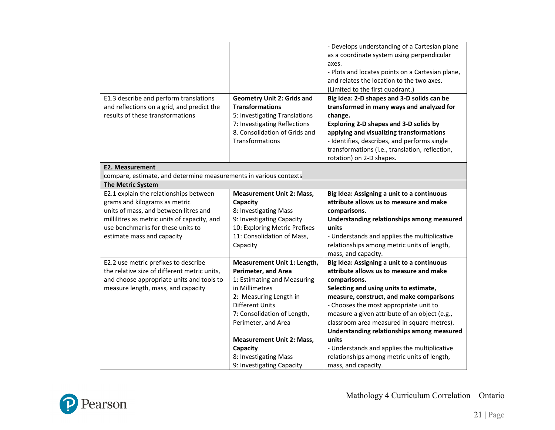|                                                                                |                                                               | - Develops understanding of a Cartesian plane                                                 |
|--------------------------------------------------------------------------------|---------------------------------------------------------------|-----------------------------------------------------------------------------------------------|
|                                                                                |                                                               |                                                                                               |
|                                                                                |                                                               | as a coordinate system using perpendicular<br>axes.                                           |
|                                                                                |                                                               |                                                                                               |
|                                                                                |                                                               | - Plots and locates points on a Cartesian plane,<br>and relates the location to the two axes. |
|                                                                                |                                                               | (Limited to the first quadrant.)                                                              |
|                                                                                |                                                               |                                                                                               |
| E1.3 describe and perform translations                                         | <b>Geometry Unit 2: Grids and</b><br><b>Transformations</b>   | Big Idea: 2-D shapes and 3-D solids can be                                                    |
| and reflections on a grid, and predict the<br>results of these transformations |                                                               | transformed in many ways and analyzed for                                                     |
|                                                                                | 5: Investigating Translations                                 | change.                                                                                       |
|                                                                                | 7: Investigating Reflections<br>8. Consolidation of Grids and | Exploring 2-D shapes and 3-D solids by                                                        |
|                                                                                |                                                               | applying and visualizing transformations                                                      |
|                                                                                | Transformations                                               | - Identifies, describes, and performs single                                                  |
|                                                                                |                                                               | transformations (i.e., translation, reflection,                                               |
|                                                                                |                                                               | rotation) on 2-D shapes.                                                                      |
| <b>E2. Measurement</b>                                                         |                                                               |                                                                                               |
| compare, estimate, and determine measurements in various contexts              |                                                               |                                                                                               |
| <b>The Metric System</b>                                                       |                                                               |                                                                                               |
| E2.1 explain the relationships between                                         | <b>Measurement Unit 2: Mass,</b>                              | Big Idea: Assigning a unit to a continuous                                                    |
| grams and kilograms as metric                                                  | Capacity                                                      | attribute allows us to measure and make                                                       |
| units of mass, and between litres and                                          | 8: Investigating Mass                                         | comparisons.                                                                                  |
| millilitres as metric units of capacity, and                                   | 9: Investigating Capacity                                     | Understanding relationships among measured                                                    |
| use benchmarks for these units to                                              | 10: Exploring Metric Prefixes                                 | units                                                                                         |
| estimate mass and capacity                                                     | 11: Consolidation of Mass,                                    | - Understands and applies the multiplicative                                                  |
|                                                                                | Capacity                                                      | relationships among metric units of length,                                                   |
|                                                                                |                                                               | mass, and capacity.                                                                           |
| E2.2 use metric prefixes to describe                                           | <b>Measurement Unit 1: Length,</b>                            | Big Idea: Assigning a unit to a continuous                                                    |
| the relative size of different metric units,                                   | <b>Perimeter, and Area</b>                                    | attribute allows us to measure and make                                                       |
| and choose appropriate units and tools to                                      | 1: Estimating and Measuring                                   | comparisons.                                                                                  |
| measure length, mass, and capacity                                             | in Millimetres                                                | Selecting and using units to estimate,                                                        |
|                                                                                | 2: Measuring Length in                                        | measure, construct, and make comparisons                                                      |
|                                                                                | <b>Different Units</b>                                        | - Chooses the most appropriate unit to                                                        |
|                                                                                | 7: Consolidation of Length,                                   | measure a given attribute of an object (e.g.,                                                 |
|                                                                                | Perimeter, and Area                                           | classroom area measured in square metres).                                                    |
|                                                                                |                                                               | Understanding relationships among measured                                                    |
|                                                                                | <b>Measurement Unit 2: Mass,</b>                              | units                                                                                         |
|                                                                                | Capacity                                                      | - Understands and applies the multiplicative                                                  |
|                                                                                |                                                               |                                                                                               |
|                                                                                | 8: Investigating Mass<br>9: Investigating Capacity            | relationships among metric units of length,<br>mass, and capacity.                            |

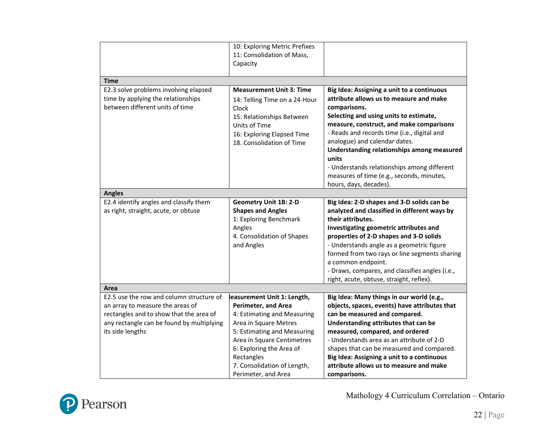|                                                         | 10: Exploring Metric Prefixes<br>11: Consolidation of Mass,<br>Capacity |                                                 |
|---------------------------------------------------------|-------------------------------------------------------------------------|-------------------------------------------------|
|                                                         |                                                                         |                                                 |
| <b>Time</b>                                             |                                                                         |                                                 |
| E2.3 solve problems involving elapsed                   | <b>Measurement Unit 3: Time</b>                                         | Big Idea: Assigning a unit to a continuous      |
| time by applying the relationships                      | 14: Telling Time on a 24-Hour                                           | attribute allows us to measure and make         |
| between different units of time                         | Clock                                                                   | comparisons.                                    |
|                                                         | 15: Relationships Between                                               | Selecting and using units to estimate,          |
|                                                         | Units of Time                                                           | measure, construct, and make comparisons        |
|                                                         | 16: Exploring Elapsed Time                                              | - Reads and records time (i.e., digital and     |
|                                                         | 18. Consolidation of Time                                               | analogue) and calendar dates.                   |
|                                                         |                                                                         | Understanding relationships among measured      |
|                                                         |                                                                         | units                                           |
|                                                         |                                                                         | - Understands relationships among different     |
|                                                         |                                                                         | measures of time (e.g., seconds, minutes,       |
|                                                         |                                                                         | hours, days, decades).                          |
| <b>Angles</b><br>E2.4 identify angles and classify them | <b>Geometry Unit 1B: 2-D</b>                                            | Big Idea: 2-D shapes and 3-D solids can be      |
| as right, straight, acute, or obtuse                    | <b>Shapes and Angles</b>                                                | analyzed and classified in different ways by    |
|                                                         | 1: Exploring Benchmark                                                  | their attributes.                               |
|                                                         | Angles                                                                  | Investigating geometric attributes and          |
|                                                         | 4. Consolidation of Shapes                                              | properties of 2-D shapes and 3-D solids         |
|                                                         | and Angles                                                              | - Understands angle as a geometric figure       |
|                                                         |                                                                         | formed from two rays or line segments sharing   |
|                                                         |                                                                         | a common endpoint.                              |
|                                                         |                                                                         | - Draws, compares, and classifies angles (i.e., |
|                                                         |                                                                         | right, acute, obtuse, straight, reflex).        |
| Area                                                    |                                                                         |                                                 |
| E2.5 use the row and column structure of                | easurement Unit 1: Length,                                              | Big Idea: Many things in our world (e.g.,       |
| an array to measure the areas of                        | <b>Perimeter, and Area</b>                                              | objects, spaces, events) have attributes that   |
| rectangles and to show that the area of                 | 4: Estimating and Measuring                                             | can be measured and compared.                   |
| any rectangle can be found by multiplying               | Area in Square Metres                                                   | Understanding attributes that can be            |
| its side lengths                                        | 5: Estimating and Measuring                                             | measured, compared, and ordered                 |
|                                                         | Area in Square Centimetres                                              | - Understands area as an attribute of 2-D       |
|                                                         | 6: Exploring the Area of                                                | shapes that can be measured and compared.       |
|                                                         | Rectangles                                                              | Big Idea: Assigning a unit to a continuous      |
|                                                         | 7. Consolidation of Length,                                             | attribute allows us to measure and make         |
|                                                         | Perimeter, and Area                                                     | comparisons.                                    |

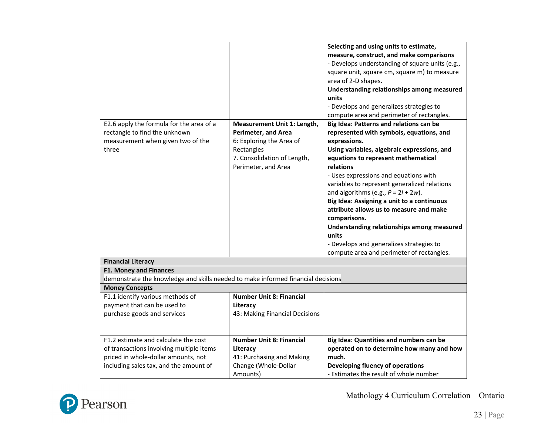|                                                                                  |                                 | Selecting and using units to estimate,          |
|----------------------------------------------------------------------------------|---------------------------------|-------------------------------------------------|
|                                                                                  |                                 | measure, construct, and make comparisons        |
|                                                                                  |                                 | - Develops understanding of square units (e.g., |
|                                                                                  |                                 | square unit, square cm, square m) to measure    |
|                                                                                  |                                 | area of 2-D shapes.                             |
|                                                                                  |                                 | Understanding relationships among measured      |
|                                                                                  |                                 | units                                           |
|                                                                                  |                                 | - Develops and generalizes strategies to        |
|                                                                                  |                                 | compute area and perimeter of rectangles.       |
| E2.6 apply the formula for the area of a                                         | Measurement Unit 1: Length,     | Big Idea: Patterns and relations can be         |
| rectangle to find the unknown                                                    | Perimeter, and Area             | represented with symbols, equations, and        |
| measurement when given two of the                                                | 6: Exploring the Area of        | expressions.                                    |
| three                                                                            | Rectangles                      | Using variables, algebraic expressions, and     |
|                                                                                  | 7. Consolidation of Length,     | equations to represent mathematical             |
|                                                                                  | Perimeter, and Area             | relations                                       |
|                                                                                  |                                 | - Uses expressions and equations with           |
|                                                                                  |                                 | variables to represent generalized relations    |
|                                                                                  |                                 | and algorithms (e.g., $P = 2l + 2w$ ).          |
|                                                                                  |                                 | Big Idea: Assigning a unit to a continuous      |
|                                                                                  |                                 | attribute allows us to measure and make         |
|                                                                                  |                                 | comparisons.                                    |
|                                                                                  |                                 | Understanding relationships among measured      |
|                                                                                  |                                 | units                                           |
|                                                                                  |                                 | - Develops and generalizes strategies to        |
|                                                                                  |                                 | compute area and perimeter of rectangles.       |
| <b>Financial Literacy</b>                                                        |                                 |                                                 |
| <b>F1. Money and Finances</b>                                                    |                                 |                                                 |
| demonstrate the knowledge and skills needed to make informed financial decisions |                                 |                                                 |
| <b>Money Concepts</b>                                                            |                                 |                                                 |
| F1.1 identify various methods of                                                 | <b>Number Unit 8: Financial</b> |                                                 |
| payment that can be used to                                                      | Literacy                        |                                                 |
| purchase goods and services                                                      | 43: Making Financial Decisions  |                                                 |
|                                                                                  |                                 |                                                 |
| F1.2 estimate and calculate the cost                                             | <b>Number Unit 8: Financial</b> | Big Idea: Quantities and numbers can be         |
| of transactions involving multiple items                                         | Literacy                        | operated on to determine how many and how       |
| priced in whole-dollar amounts, not                                              | 41: Purchasing and Making       | much.                                           |
| including sales tax, and the amount of                                           | Change (Whole-Dollar            | Developing fluency of operations                |
|                                                                                  | Amounts)                        | - Estimates the result of whole number          |
|                                                                                  |                                 |                                                 |